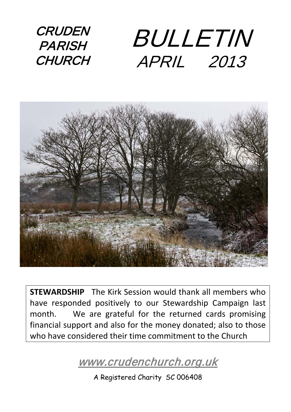**CRUDEN PARISH CHURCH** BULLETIN APRIL 2013



**STEWARDSHIP** The Kirk Session would thank all members who have responded positively to our Stewardship Campaign last month. We are grateful for the returned cards promising financial support and also for the money donated; also to those who have considered their time commitment to the Church

[www.crudenchurch.org.uk](http://www.crudenchurch.org.uk/) 

A Registered Charity SC 006408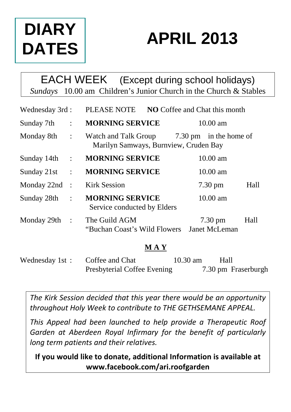# **DIARY DATES**

# **APRIL 2013**

### EACH WEEK (Except during school holidays) *Sundays* 10.00 am Children's Junior Church in the Church & Stables

| Wednesday 3rd: |                | PLEASE NOTE<br><b>NO</b> Coffee and Chat this month           |       |                                    |      |
|----------------|----------------|---------------------------------------------------------------|-------|------------------------------------|------|
| Sunday 7th     | $\ddot{\cdot}$ | <b>MORNING SERVICE</b>                                        |       | $10.00$ am                         |      |
| Monday 8th     | $\sim$ 1       | Watch and Talk Group<br>Marilyn Samways, Burnview, Cruden Bay |       | 7.30 pm in the home of             |      |
| Sunday 14th:   |                | <b>MORNING SERVICE</b>                                        |       | $10.00$ am                         |      |
| Sunday 21st    | $\ddot{\cdot}$ | <b>MORNING SERVICE</b>                                        |       | $10.00 \text{ am}$                 |      |
| Monday 22nd    | $\cdot$ :      | Kirk Session                                                  |       | $7.30 \text{ pm}$                  | Hall |
| Sunday 28th    | $\ddot{\cdot}$ | <b>MORNING SERVICE</b><br>Service conducted by Elders         |       | $10.00$ am                         |      |
| Monday 29th :  |                | The Guild AGM<br>"Buchan Coast's Wild Flowers"                |       | $7.30 \text{ pm}$<br>Janet McLeman | Hall |
|                |                |                                                               | M A Y |                                    |      |

Wednesday 1st : Coffee and Chat 10.30 am Hall Presbyterial Coffee Evening 7.30 pm Fraserburgh

*The Kirk Session decided that this year there would be an opportunity throughout Holy Week to contribute to THE GETHSEMANE APPEAL.*

*This Appeal had been launched to help provide a Therapeutic Roof Garden at Aberdeen Royal Infirmary for the benefit of particularly long term patients and their relatives.*

**If you would like to donate, additional Information is available at www.facebook.com/ari.roofgarden**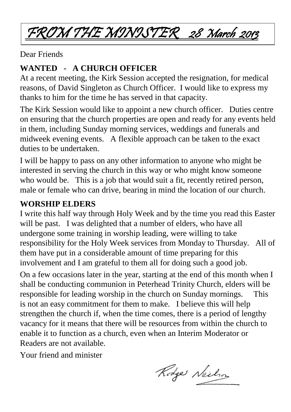## FROM THE MINISTER 28 March 2013

Dear Friends

#### **WANTED - A CHURCH OFFICER**

At a recent meeting, the Kirk Session accepted the resignation, for medical reasons, of David Singleton as Church Officer. I would like to express my thanks to him for the time he has served in that capacity.

The Kirk Session would like to appoint a new church officer. Duties centre on ensuring that the church properties are open and ready for any events held in them, including Sunday morning services, weddings and funerals and midweek evening events. A flexible approach can be taken to the exact duties to be undertaken.

I will be happy to pass on any other information to anyone who might be interested in serving the church in this way or who might know someone who would be. This is a job that would suit a fit, recently retired person, male or female who can drive, bearing in mind the location of our church.

#### **WORSHIP ELDERS**

I write this half way through Holy Week and by the time you read this Easter will be past. I was delighted that a number of elders, who have all undergone some training in worship leading, were willing to take responsibility for the Holy Week services from Monday to Thursday. All of them have put in a considerable amount of time preparing for this involvement and I am grateful to them all for doing such a good job.

On a few occasions later in the year, starting at the end of this month when I shall be conducting communion in Peterhead Trinity Church, elders will be responsible for leading worship in the church on Sunday mornings. This is not an easy commitment for them to make. I believe this will help strengthen the church if, when the time comes, there is a period of lengthy vacancy for it means that there will be resources from within the church to enable it to function as a church, even when an Interim Moderator or Readers are not available.

Your friend and minister

Rodge Neilson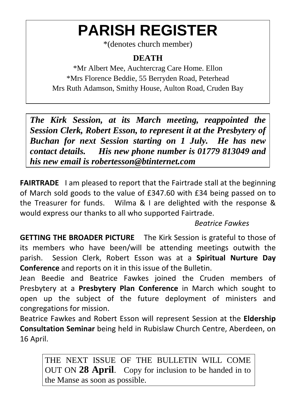# **PARISH REGISTER**

\*(denotes church member)

#### **DEATH**

\*Mr Albert Mee, Auchtercrag Care Home. Ellon \*Mrs Florence Beddie, 55 Berryden Road, Peterhead Mrs Ruth Adamson, Smithy House, Aulton Road, Cruden Bay

 $\overline{a}$ 

*The Kirk Session, at its March meeting, reappointed the Session Clerk, Robert Esson, to represent it at the Presbytery of Buchan for next Session starting on 1 July. He has new contact details. His new phone number is 01779 813049 and his new email is [robertesson@btinternet.com](mailto:robertesson@btinternet.com)*

**FAIRTRADE** I am pleased to report that the Fairtrade stall at the beginning of March sold goods to the value of £347.60 with £34 being passed on to the Treasurer for funds. Wilma & I are delighted with the response & would express our thanks to all who supported Fairtrade.

#### *Beatrice Fawkes*

**GETTING THE BROADER PICTURE** The Kirk Session is grateful to those of its members who have been/will be attending meetings outwith the parish. Session Clerk, Robert Esson was at a **Spiritual Nurture Day Conference** and reports on it in this issue of the Bulletin.

Jean Beedie and Beatrice Fawkes joined the Cruden members of Presbytery at a **Presbytery Plan Conference** in March which sought to open up the subject of the future deployment of ministers and congregations for mission.

Beatrice Fawkes and Robert Esson will represent Session at the **Eldership Consultation Seminar** being held in Rubislaw Church Centre, Aberdeen, on 16 April.

THE NEXT ISSUE OF THE BULLETIN WILL COME OUT ON **28 April**. Copy for inclusion to be handed in to the Manse as soon as possible.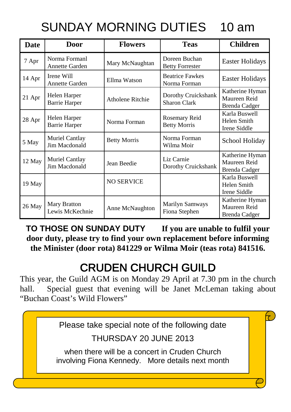### SUNDAY MORNING DUTIES 10 am

| <b>Date</b> | Door                                 | <b>Flowers</b>      | <b>Teas</b>                                | <b>Children</b>                                  |
|-------------|--------------------------------------|---------------------|--------------------------------------------|--------------------------------------------------|
| 7 Apr       | Norma Formanl<br>Annette Garden      | Mary McNaughtan     | Doreen Buchan<br><b>Betty Forrester</b>    | Easter Holidays                                  |
| 14 Apr      | Irene Will<br>Annette Garden         | Ellma Watson        | <b>Beatrice Fawkes</b><br>Norma Forman     | Easter Holidays                                  |
| 21 Apr      | Helen Harper<br><b>Barrie Harper</b> | Atholene Ritchie    | Dorothy Cruickshank<br><b>Sharon Clark</b> | Katherine Hyman<br>Maureen Reid<br>Brenda Cadger |
| 28 Apr      | Helen Harper<br><b>Barrie Harper</b> | Norma Forman        | Rosemary Reid<br><b>Betty Morris</b>       | Karla Buswell<br>Helen Smith<br>Irene Siddle     |
| 5 May       | Muriel Cantlay<br>Jim Macdonald      | <b>Betty Morris</b> | Norma Forman<br>Wilma Moir                 | School Holiday                                   |
| 12 May      | Muriel Cantlay<br>Jim Macdonald      | Jean Beedie         | Liz Carnie<br>Dorothy Cruickshank          | Katherine Hyman<br>Maureen Reid<br>Brenda Cadger |
| 19 May      |                                      | <b>NO SERVICE</b>   |                                            | Karla Buswell<br>Helen Smith<br>Irene Siddle     |
| 26 May      | Mary Bratton<br>Lewis McKechnie      | Anne McNaughton     | Marilyn Samways<br>Fiona Stephen           | Katherine Hyman<br>Maureen Reid<br>Brenda Cadger |

**TO THOSE ON SUNDAY DUTY If you are unable to fulfil your door duty, please try to find your own replacement before informing the Minister (door rota) 841229 or Wilma Moir (teas rota) 841516.**

### CRUDEN CHURCH GUILD

This year, the Guild AGM is on Monday 29 April at 7.30 pm in the church hall. Special guest that evening will be Janet McLeman taking about "Buchan Coast's Wild Flowers"

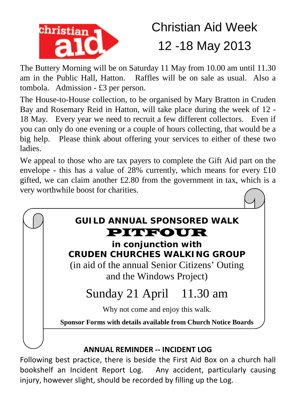

## Christian Aid Week 12 -18 May 2013

The Buttery Morning will be on Saturday 11 May from 10.00 am until 11.30 am in the Public Hall, Hatton. Raffles will be on sale as usual. Also a tombola. Admission - £3 per person.

The House-to-House collection, to be organised by Mary Bratton in Cruden Bay and Rosemary Reid in Hatton, will take place during the week of 12 - 18 May. Every year we need to recruit a few different collectors. Even if you can only do one evening or a couple of hours collecting, that would be a big help. Please think about offering your services to either of these two ladies.

We appeal to those who are tax payers to complete the Gift Aid part on the envelope - this has a value of 28% currently, which means for every £10 gifted, we can claim another £2.80 from the government in tax, which is a very worthwhile boost for charities.



Following best practice, there is beside the First Aid Box on a church hall bookshelf an Incident Report Log. Any accident, particularly causing injury, however slight, should be recorded by filling up the Log.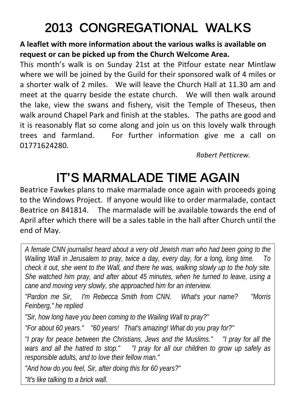## 2013 CONGREGATIONAL WALKS

#### **A leaflet with more information about the various walks is available on request or can be picked up from the Church Welcome Area.**

This month's walk is on Sunday 21st at the Pitfour estate near Mintlaw where we will be joined by the Guild for their sponsored walk of 4 miles or a shorter walk of 2 miles. We will leave the Church Hall at 11.30 am and meet at the quarry beside the estate church. We will then walk around the lake, view the swans and fishery, visit the Temple of Theseus, then walk around Chapel Park and finish at the stables. The paths are good and it is reasonably flat so come along and join us on this lovely walk through trees and farmland. For further information give me a call on 01771624280.

*Robert Petticrew.*

## IT'S MARMALADE TIME AGAIN

Beatrice Fawkes plans to make marmalade once again with proceeds going to the Windows Project. If anyone would like to order marmalade, contact Beatrice on 841814. The marmalade will be available towards the end of April after which there will be a sales table in the hall after Church until the end of May.

*A female CNN journalist heard about a very old Jewish man who had been going to the Wailing Wall in Jerusalem to pray, twice a day, every day, for a long, long time. To check it out, she went to the Wall, and there he was, walking slowly up to the holy site. She watched him pray, and after about 45 minutes, when he turned to leave, using a cane and moving very slowly, she approached him for an interview.* 

*"Pardon me Sir, I'm Rebecca Smith from CNN. What's your name? "Morris Feinberg," he replied* 

*"Sir, how long have you been coming to the Wailing Wall to pray?"* 

*"For about 60 years." "60 years! That's amazing! What do you pray for?"* 

*"I pray for peace between the Christians, Jews and the Muslims." "I pray for all the wars and all the hatred to stop." "I pray for all our children to grow up safely as responsible adults, and to love their fellow man."*

*"And how do you feel, Sir, after doing this for 60 years?"* 

*"It's like talking to a brick wall.*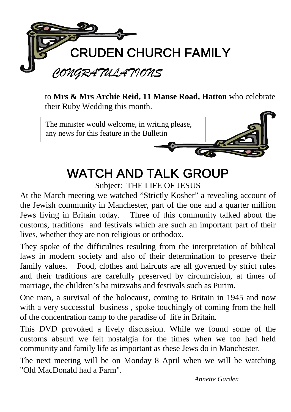

to **Mrs & Mrs Archie Reid, 11 Manse Road, Hatton** who celebrate their Ruby Wedding this month.



## WATCH AND TALK GROUP

Subject: THE LIFE OF JESUS

At the March meeting we watched "Strictly Kosher" a revealing account of the Jewish community in Manchester, part of the one and a quarter million Jews living in Britain today. Three of this community talked about the customs, traditions and festivals which are such an important part of their lives, whether they are non religious or orthodox.

They spoke of the difficulties resulting from the interpretation of biblical laws in modern society and also of their determination to preserve their family values. Food, clothes and haircuts are all governed by strict rules and their traditions are carefully preserved by circumcision, at times of marriage, the children's ba mitzvahs and festivals such as Purim.

One man, a survival of the holocaust, coming to Britain in 1945 and now with a very successful business, spoke touchingly of coming from the hell of the concentration camp to the paradise of life in Britain.

This DVD provoked a lively discussion. While we found some of the customs absurd we felt nostalgia for the times when we too had held community and family life as important as these Jews do in Manchester.

The next meeting will be on Monday 8 April when we will be watching "Old MacDonald had a Farm".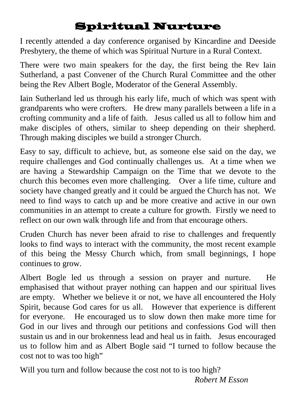### Spiritual Nurture

I recently attended a day conference organised by Kincardine and Deeside Presbytery, the theme of which was Spiritual Nurture in a Rural Context.

There were two main speakers for the day, the first being the Rev Iain Sutherland, a past Convener of the Church Rural Committee and the other being the Rev Albert Bogle, Moderator of the General Assembly.

Iain Sutherland led us through his early life, much of which was spent with grandparents who were crofters. He drew many parallels between a life in a crofting community and a life of faith. Jesus called us all to follow him and make disciples of others, similar to sheep depending on their shepherd. Through making disciples we build a stronger Church.

Easy to say, difficult to achieve, but, as someone else said on the day, we require challenges and God continually challenges us. At a time when we are having a Stewardship Campaign on the Time that we devote to the church this becomes even more challenging. Over a life time, culture and society have changed greatly and it could be argued the Church has not. We need to find ways to catch up and be more creative and active in our own communities in an attempt to create a culture for growth. Firstly we need to reflect on our own walk through life and from that encourage others.

Cruden Church has never been afraid to rise to challenges and frequently looks to find ways to interact with the community, the most recent example of this being the Messy Church which, from small beginnings, I hope continues to grow.

Albert Bogle led us through a session on prayer and nurture. He emphasised that without prayer nothing can happen and our spiritual lives are empty. Whether we believe it or not, we have all encountered the Holy Spirit, because God cares for us all. However that experience is different for everyone. He encouraged us to slow down then make more time for God in our lives and through our petitions and confessions God will then sustain us and in our brokenness lead and heal us in faith. Jesus encouraged us to follow him and as Albert Bogle said "I turned to follow because the cost not to was too high"

Will you turn and follow because the cost not to is too high? *Robert M Esson*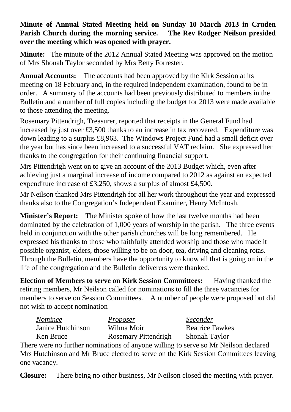#### **Minute of Annual Stated Meeting held on Sunday 10 March 2013 in Cruden Parish Church during the morning service. The Rev Rodger Neilson presided over the meeting which was opened with prayer.**

**Minute:** The minute of the 2012 Annual Stated Meeting was approved on the motion of Mrs Shonah Taylor seconded by Mrs Betty Forrester.

**Annual Accounts:** The accounts had been approved by the Kirk Session at its meeting on 18 February and, in the required independent examination, found to be in order. A summary of the accounts had been previously distributed to members in the Bulletin and a number of full copies including the budget for 2013 were made available to those attending the meeting.

Rosemary Pittendrigh, Treasurer, reported that receipts in the General Fund had increased by just over £3,500 thanks to an increase in tax recovered. Expenditure was down leading to a surplus £8,963. The Windows Project Fund had a small deficit over the year but has since been increased to a successful VAT reclaim. She expressed her thanks to the congregation for their continuing financial support.

Mrs Pittendrigh went on to give an account of the 2013 Budget which, even after achieving just a marginal increase of income compared to 2012 as against an expected expenditure increase of £3,250, shows a surplus of almost £4,500.

Mr Neilson thanked Mrs Pittendrigh for all her work throughout the year and expressed thanks also to the Congregation's Independent Examiner, Henry McIntosh.

**Minister's Report:** The Minister spoke of how the last twelve months had been dominated by the celebration of 1,000 years of worship in the parish. The three events held in conjunction with the other parish churches will be long remembered. He expressed his thanks to those who faithfully attended worship and those who made it possible organist, elders, those willing to be on door, tea, driving and cleaning rotas. Through the Bulletin, members have the opportunity to know all that is going on in the life of the congregation and the Bulletin deliverers were thanked.

**Election of Members to serve on Kirk Session Committees:** Having thanked the retiring members, Mr Neilson called for nominations to fill the three vacancies for members to serve on Session Committees. A number of people were proposed but did not wish to accept nomination

| Nominee           | Proposer                                                                                | Seconder               |
|-------------------|-----------------------------------------------------------------------------------------|------------------------|
| Janice Hutchinson | Wilma Moir                                                                              | <b>Beatrice Fawkes</b> |
| Ken Bruce         | Rosemary Pittendrigh                                                                    | Shonah Taylor          |
|                   | $\mu$ were no further nominations of envoyed willing to serve so $M_{\rm F}$ Neilson do |                        |

There were no further nominations of anyone willing to serve so Mr Neilson declared Mrs Hutchinson and Mr Bruce elected to serve on the Kirk Session Committees leaving one vacancy.

**Closure:** There being no other business, Mr Neilson closed the meeting with prayer.